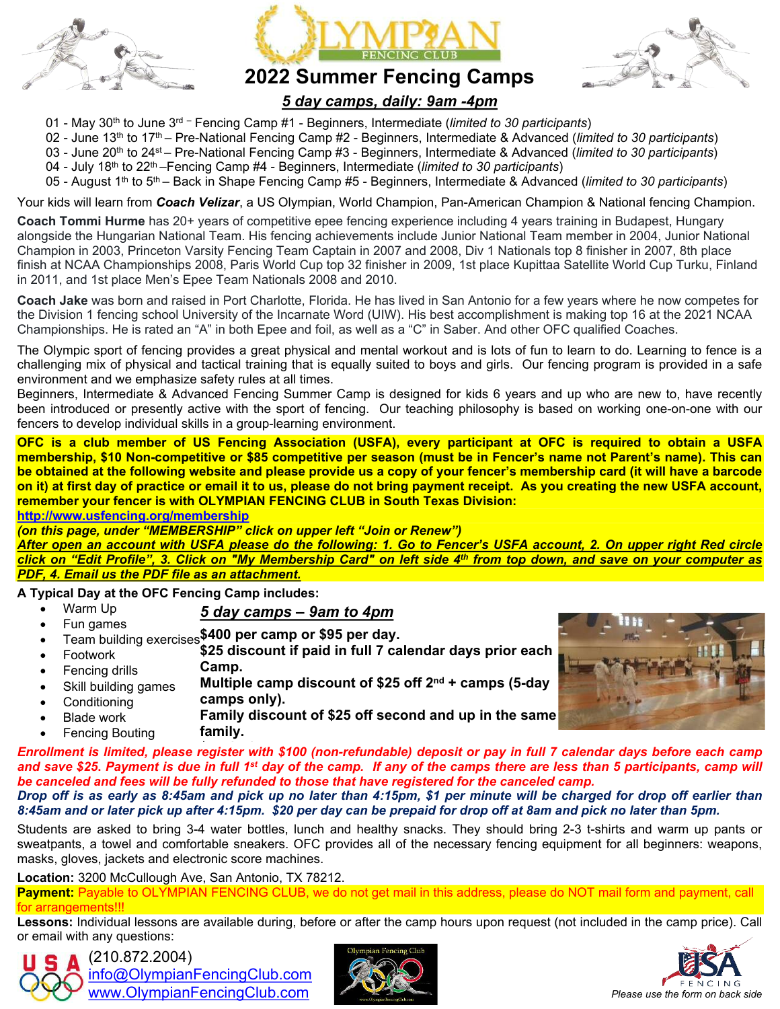





## **2022 Summer Fencing Camps**

### *5 day camps, daily: 9am -4pm*

- 01 May 30th to June 3rd Fencing Camp #1 Beginners, Intermediate (*limited to 30 participants*)
- 02 June 13th to 17th Pre-National Fencing Camp #2 Beginners, Intermediate & Advanced (*limited to 30 participants*)
- 03 June 20th to 24st Pre-National Fencing Camp #3 Beginners, Intermediate & Advanced (*limited to 30 participants*)
- 04 July 18th to 22th –Fencing Camp #4 Beginners, Intermediate (*limited to 30 participants*)
- 05 August 1th to 5th Back in Shape Fencing Camp #5 Beginners, Intermediate & Advanced (*limited to 30 participants*)

Your kids will learn from *Coach Velizar*, a US Olympian, World Champion, Pan-American Champion & National fencing Champion.

**Coach Tommi Hurme** has 20+ years of competitive epee fencing experience including 4 years training in Budapest, Hungary alongside the Hungarian National Team. His fencing achievements include Junior National Team member in 2004, Junior National Champion in 2003, Princeton Varsity Fencing Team Captain in 2007 and 2008, Div 1 Nationals top 8 finisher in 2007, 8th place finish at NCAA Championships 2008, Paris World Cup top 32 finisher in 2009, 1st place Kupittaa Satellite World Cup Turku, Finland in 2011, and 1st place Men's Epee Team Nationals 2008 and 2010.

**Coach Jake** was born and raised in Port Charlotte, Florida. He has lived in San Antonio for a few years where he now competes for the Division 1 fencing school University of the Incarnate Word (UIW). His best accomplishment is making top 16 at the 2021 NCAA Championships. He is rated an "A" in both Epee and foil, as well as a "C" in Saber. And other OFC qualified Coaches.

The Olympic sport of fencing provides a great physical and mental workout and is lots of fun to learn to do. Learning to fence is a challenging mix of physical and tactical training that is equally suited to boys and girls. Our fencing program is provided in a safe environment and we emphasize safety rules at all times.

Beginners, Intermediate & Advanced Fencing Summer Camp is designed for kids 6 years and up who are new to, have recently been introduced or presently active with the sport of fencing. Our teaching philosophy is based on working one-on-one with our fencers to develop individual skills in a group-learning environment.

**OFC is a club member of US Fencing Association (USFA), every participant at OFC is required to obtain a USFA membership, \$10 Non-competitive or \$85 competitive per season (must be in Fencer's name not Parent's name). This can be obtained at the following website and please provide us a copy of your fencer's membership card (it will have a barcode on it) at first day of practice or email it to us, please do not bring payment receipt. As you creating the new USFA account, remember your fencer is with OLYMPIAN FENCING CLUB in South Texas Division:** 

**<http://www.usfencing.org/membership>**

*(on this page, under "MEMBERSHIP" click on upper left "Join or Renew")*

*After open an account with USFA please do the following: 1. Go to Fencer's USFA account, 2. On upper right Red circle click on "Edit Profile", 3. Click on "My Membership Card" on left side 4th from top down, and save on your computer as PDF, 4. Email us the PDF file as an attachment.*

**A Typical Day at the OFC Fencing Camp includes:**

- Warm Up *5 day camps – 9am to 4pm*
- Fun games • Team building exercises<sup>\$400</sup> per camp or \$95 per day.
- Footwork Fencing drills **\$25 discount if paid in full 7 calendar days prior each Camp.**
- Skill building games **Multiple camp discount of \$25 off 2nd + camps (5-day**
- **Conditioning camps only).**
- Blade work Fencing Bouting **Family discount of \$25 off second and up in the same family.**



**Enrollment is limited, please register with \$100 (non-refundable) deposit or pay in full 7 calendar days before each camp** *and save \$25***.** *Payment is due in full 1st day of the camp. If any of the camps there are less than 5 participants, camp will be canceled and fees will be fully refunded to those that have registered for the canceled camp.*

*Drop off is as early as 8:45am and pick up no later than 4:15pm, \$1 per minute will be charged for drop off earlier than 8:45am and or later pick up after 4:15pm. \$20 per day can be prepaid for drop off at 8am and pick no later than 5pm.*

Students are asked to bring 3-4 water bottles, lunch and healthy snacks. They should bring 2-3 t-shirts and warm up pants or sweatpants, a towel and comfortable sneakers. OFC provides all of the necessary fencing equipment for all beginners: weapons, masks, gloves, jackets and electronic score machines.

**Location:** 3200 McCullough Ave, San Antonio, TX 78212.

**Payment:** Payable to OLYMPIAN FENCING CLUB, we do not get mail in this address, please do NOT mail form and payment, call for arrangements!!!

**Lessons:** Individual lessons are available during, before or after the camp hours upon request (not included in the camp price). Call or email with any questions:



 (210.872.2004) [info@OlympianFencingClub.com](mailto:info@olympianfencingclub.com) [www.OlympianFencingClub.com](http://www.olympianfencingclub.com/) *Please use the form on back side*